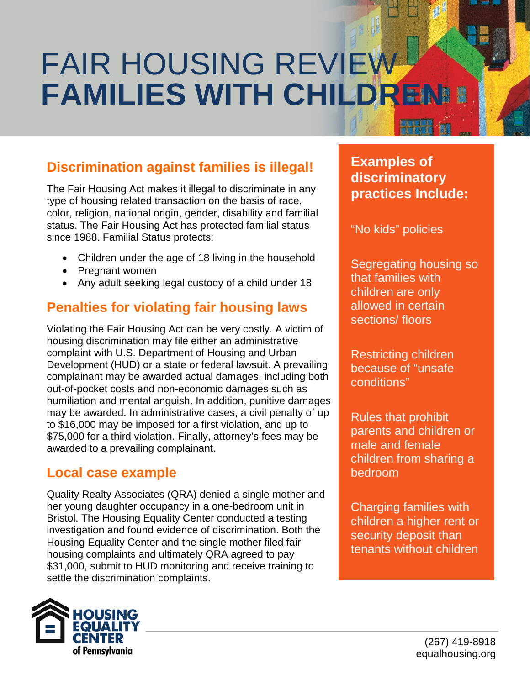# FAIR HOUSING REVIEW **FAMILIES WITH CHILDREN**

# **Discrimination against families is illegal!**

The Fair Housing Act makes it illegal to discriminate in any type of housing related transaction on the basis of race, color, religion, national origin, gender, disability and familial status. The Fair Housing Act has protected familial status since 1988. Familial Status protects:

- Children under the age of 18 living in the household
- Pregnant women
- Any adult seeking legal custody of a child under 18

# **Penalties for violating fair housing laws**

Violating the Fair Housing Act can be very costly. A victim of housing discrimination may file either an administrative complaint with U.S. Department of Housing and Urban Development (HUD) or a state or federal lawsuit. A prevailing complainant may be awarded actual damages, including both out-of-pocket costs and non-economic damages such as humiliation and mental anguish. In addition, punitive damages may be awarded. In administrative cases, a civil penalty of up to \$16,000 may be imposed for a first violation, and up to \$75,000 for a third violation. Finally, attorney's fees may be awarded to a prevailing complainant.

#### **Local case example**

Quality Realty Associates (QRA) denied a single mother and her young daughter occupancy in a one-bedroom unit in Bristol. The Housing Equality Center conducted a testing investigation and found evidence of discrimination. Both the Housing Equality Center and the single mother filed fair housing complaints and ultimately QRA agreed to pay \$31,000, submit to HUD monitoring and receive training to settle the discrimination complaints.



## **Examples of discriminatory practices Include:**

"No kids" policies

Segregating housing so that families with children are only allowed in certain sections/ floors

Restricting children because of "unsafe conditions"

Rules that prohibit parents and children or male and female children from sharing a bedroom

Charging families with children a higher rent or security deposit than tenants without children